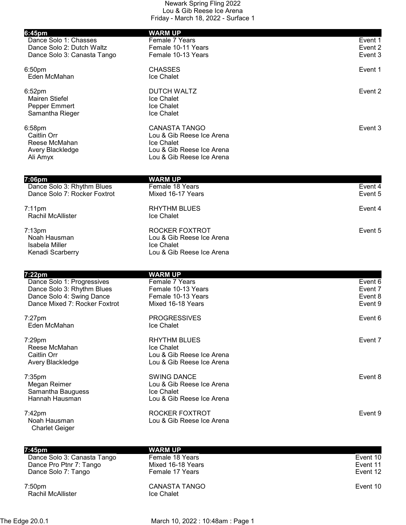| 6:45pm                                                     | <b>WARM UP</b>                          |         |
|------------------------------------------------------------|-----------------------------------------|---------|
| Dance Solo 1: Chasses                                      | Female 7 Years                          | Event 1 |
| Dance Solo 2: Dutch Waltz                                  | Female 10-11 Years                      | Event 2 |
| Dance Solo 3: Canasta Tango                                | Female 10-13 Years                      | Event 3 |
| 6:50 <sub>pm</sub>                                         | <b>CHASSES</b>                          | Event 1 |
| Eden McMahan                                               | Ice Chalet                              |         |
| 6:52 <sub>pm</sub>                                         | <b>DUTCH WALTZ</b>                      | Event 2 |
| <b>Mairen Stiefel</b>                                      | Ice Chalet                              |         |
| Pepper Emmert                                              | Ice Chalet                              |         |
| Samantha Rieger                                            | Ice Chalet                              |         |
| 6:58pm                                                     | <b>CANASTA TANGO</b>                    | Event 3 |
| Caitlin Orr                                                | Lou & Gib Reese Ice Arena               |         |
| Reese McMahan                                              | Ice Chalet<br>Lou & Gib Reese Ice Arena |         |
| Avery Blackledge<br>Ali Amyx                               | Lou & Gib Reese Ice Arena               |         |
|                                                            |                                         |         |
| 7:06pm                                                     | <b>WARM UP</b><br>Female 18 Years       | Event 4 |
| Dance Solo 3: Rhythm Blues<br>Dance Solo 7: Rocker Foxtrot | Mixed 16-17 Years                       | Event 5 |
|                                                            |                                         |         |
| $7:11$ pm                                                  | <b>RHYTHM BLUES</b>                     | Event 4 |
| Rachil McAllister                                          | Ice Chalet                              |         |
| $7:13$ pm                                                  | ROCKER FOXTROT                          | Event 5 |
| Noah Hausman                                               | Lou & Gib Reese Ice Arena               |         |
| Isabela Miller                                             | Ice Chalet                              |         |
| Kenadi Scarberry                                           | Lou & Gib Reese Ice Arena               |         |
|                                                            |                                         |         |
| 7:22pm<br>Dance Solo 1: Progressives                       | <b>WARM UP</b><br>Female 7 Years        | Event 6 |
| Dance Solo 3: Rhythm Blues                                 | Female 10-13 Years                      | Event 7 |
| Dance Solo 4: Swing Dance                                  | Female 10-13 Years                      | Event 8 |
| Dance Mixed 7: Rocker Foxtrot                              | Mixed 16-18 Years                       | Event 9 |
| $7:27$ pm                                                  | <b>PROGRESSIVES</b>                     | Event 6 |
| Eden McMahan                                               | Ice Chalet                              |         |
| 7:29pm                                                     | <b>RHYTHM BLUES</b>                     | Event 7 |
| Reese McMahan                                              | <b>Ice Chalet</b>                       |         |
| Caitlin Orr                                                | Lou & Gib Reese Ice Arena               |         |
| Avery Blackledge                                           | Lou & Gib Reese Ice Arena               |         |
| $7:35$ pm                                                  | <b>SWING DANCE</b>                      | Event 8 |
| Megan Reimer                                               | Lou & Gib Reese Ice Arena               |         |
| Samantha Bauguess                                          | <b>Ice Chalet</b>                       |         |
| Hannah Hausman                                             | Lou & Gib Reese Ice Arena               |         |
| 7:42pm                                                     | ROCKER FOXTROT                          | Event 9 |
| Noah Hausman                                               | Lou & Gib Reese Ice Arena               |         |
| <b>Charlet Geiger</b>                                      |                                         |         |
|                                                            |                                         |         |

| 7:45pm                      | <b>WARM UP</b>       |          |
|-----------------------------|----------------------|----------|
| Dance Solo 3: Canasta Tango | Female 18 Years      | Event 10 |
| Dance Pro Ptnr 7: Tango     | Mixed 16-18 Years    | Event 11 |
| Dance Solo 7: Tango         | Female 17 Years      | Event 12 |
| 7:50pm                      | <b>CANASTA TANGO</b> | Event 10 |
| <b>Rachil McAllister</b>    | Ice Chalet           |          |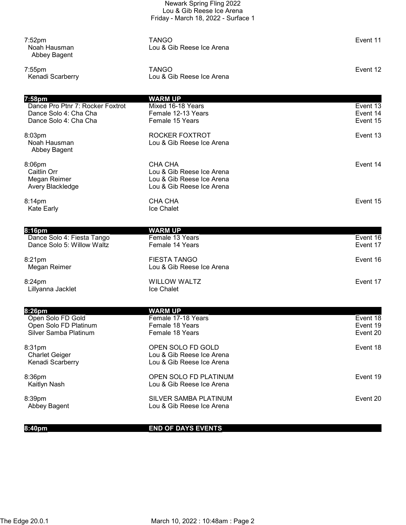|                                                                                      | Newark Spring Fling 2022<br>Lou & Gib Reese Ice Arena<br>Friday - March 18, 2022 - Surface 1   |                                  |
|--------------------------------------------------------------------------------------|------------------------------------------------------------------------------------------------|----------------------------------|
| $7:52$ pm<br>Noah Hausman<br>Abbey Bagent                                            | <b>TANGO</b><br>Lou & Gib Reese Ice Arena                                                      | Event 11                         |
| $7:55$ pm<br>Kenadi Scarberry                                                        | <b>TANGO</b><br>Lou & Gib Reese Ice Arena                                                      | Event 12                         |
| 7:58pm                                                                               | <b>WARM UP</b>                                                                                 |                                  |
| Dance Pro Ptnr 7: Rocker Foxtrot<br>Dance Solo 4: Cha Cha<br>Dance Solo 4: Cha Cha   | Mixed 16-18 Years<br>Female 12-13 Years<br>Female 15 Years                                     | Event 13<br>Event 14<br>Event 15 |
| 8:03pm<br>Noah Hausman<br>Abbey Bagent                                               | ROCKER FOXTROT<br>Lou & Gib Reese Ice Arena                                                    | Event 13                         |
| 8:06pm<br>Caitlin Orr<br>Megan Reimer<br>Avery Blackledge                            | CHA CHA<br>Lou & Gib Reese Ice Arena<br>Lou & Gib Reese Ice Arena<br>Lou & Gib Reese Ice Arena | Event 14                         |
| 8:14pm<br><b>Kate Early</b>                                                          | CHA CHA<br>Ice Chalet                                                                          | Event 15                         |
| 8:16pm                                                                               | <b>WARM UP</b>                                                                                 |                                  |
| Dance Solo 4: Fiesta Tango<br>Dance Solo 5: Willow Waltz                             | Female 13 Years<br>Female 14 Years                                                             | Event 16<br>Event 17             |
| 8:21pm<br>Megan Reimer                                                               | <b>FIESTA TANGO</b><br>Lou & Gib Reese Ice Arena                                               | Event 16                         |
| 8:24pm<br>Lillyanna Jacklet                                                          | <b>WILLOW WALTZ</b><br>Ice Chalet                                                              | Event 17                         |
|                                                                                      |                                                                                                |                                  |
| 8:26pm<br>Open Solo FD Gold<br>Open Solo FD Platinum<br><b>Silver Samba Platinum</b> | <b>WARM UP</b><br>Female 17-18 Years<br>Female 18 Years<br>Female 18 Years                     | Event 18<br>Event 19<br>Event 20 |
| 8:31pm<br><b>Charlet Geiger</b><br>Kenadi Scarberry                                  | OPEN SOLO FD GOLD<br>Lou & Gib Reese Ice Arena<br>Lou & Gib Reese Ice Arena                    | Event 18                         |
| 8:36pm<br>Kaitlyn Nash                                                               | OPEN SOLO FD PLATINUM<br>Lou & Gib Reese Ice Arena                                             | Event 19                         |
| 8:39pm<br>Abbey Bagent                                                               | SILVER SAMBA PLATINUM<br>Lou & Gib Reese Ice Arena                                             | Event 20                         |
|                                                                                      |                                                                                                |                                  |

8:40pm END OF DAYS EVENTS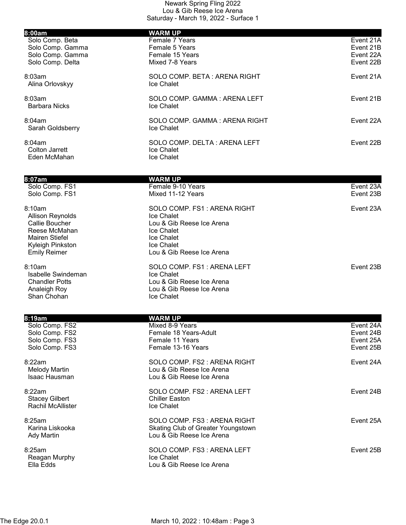| 8:00am                          | <b>WARM UP</b>                                 |           |
|---------------------------------|------------------------------------------------|-----------|
| Solo Comp. Beta                 | Female 7 Years                                 | Event 21A |
| Solo Comp. Gamma                | Female 5 Years                                 | Event 21B |
| Solo Comp. Gamma                | Female 15 Years                                | Event 22A |
| Solo Comp. Delta                | Mixed 7-8 Years                                | Event 22B |
| 8:03am                          | SOLO COMP. BETA: ARENA RIGHT                   | Event 21A |
| Alina Orlovskyy                 | Ice Chalet                                     |           |
| 8:03am                          | SOLO COMP. GAMMA: ARENA LEFT                   | Event 21B |
| <b>Barbara Nicks</b>            | Ice Chalet                                     |           |
| 8:04am                          | SOLO COMP. GAMMA: ARENA RIGHT                  | Event 22A |
| Sarah Goldsberry                | <b>Ice Chalet</b>                              |           |
| 8:04am                          | SOLO COMP. DELTA: ARENA LEFT                   | Event 22B |
| <b>Colton Jarrett</b>           | Ice Chalet                                     |           |
| Eden McMahan                    | Ice Chalet                                     |           |
|                                 |                                                |           |
| 8:07am                          | <b>WARM UP</b>                                 |           |
| Solo Comp. FS1                  | Female 9-10 Years                              | Event 23A |
| Solo Comp. FS1                  | Mixed 11-12 Years                              | Event 23B |
| 8:10am                          | SOLO COMP. FS1: ARENA RIGHT                    | Event 23A |
| <b>Allison Reynolds</b>         | Ice Chalet                                     |           |
| Callie Boucher<br>Reese McMahan | Lou & Gib Reese Ice Arena                      |           |
| <b>Mairen Stiefel</b>           | Ice Chalet<br>Ice Chalet                       |           |
| Kyleigh Pinkston                | Ice Chalet                                     |           |
| <b>Emily Reimer</b>             | Lou & Gib Reese Ice Arena                      |           |
| 8:10am                          | SOLO COMP. FS1: ARENA LEFT                     | Event 23B |
| Isabelle Swindeman              | Ice Chalet                                     |           |
| <b>Chandler Potts</b>           | Lou & Gib Reese Ice Arena                      |           |
| Analeigh Roy<br>Shan Chohan     | Lou & Gib Reese Ice Arena<br><b>Ice Chalet</b> |           |
|                                 |                                                |           |
| 8:19am                          | <b>WARM UP</b>                                 |           |
| Solo Comp. FS2                  | Mixed 8-9 Years                                | Event 24A |
| Solo Comp. FS2                  | Female 18 Years-Adult                          | Event 24B |
| Solo Comp. FS3                  | Female 11 Years                                | Event 25A |
| Solo Comp. FS3                  | Female 13-16 Years                             | Event 25B |
| 8:22am                          | SOLO COMP. FS2 : ARENA RIGHT                   | Event 24A |
| <b>Melody Martin</b>            | Lou & Gib Reese Ice Arena                      |           |
| Isaac Hausman                   | Lou & Gib Reese Ice Arena                      |           |
| 8:22am                          | SOLO COMP. FS2 : ARENA LEFT                    | Event 24B |
| <b>Stacey Gilbert</b>           | <b>Chiller Easton</b>                          |           |
| <b>Rachil McAllister</b>        | Ice Chalet                                     |           |
| 8:25am                          | SOLO COMP. FS3 : ARENA RIGHT                   | Event 25A |
| Karina Liskooka                 | Skating Club of Greater Youngstown             |           |
| <b>Ady Martin</b>               | Lou & Gib Reese Ice Arena                      |           |
| 8:25am                          | SOLO COMP. FS3: ARENA LEFT                     | Event 25B |
| Reagan Murphy                   | Ice Chalet                                     |           |
| Ella Edds                       | Lou & Gib Reese Ice Arena                      |           |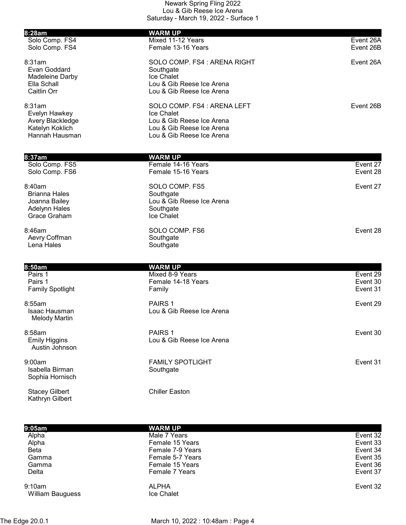| 8:28am<br>Solo Comp. FS4                                                                | <b>WARM UP</b><br>Mixed 11-12 Years                                                                                              | Event 26A                        |
|-----------------------------------------------------------------------------------------|----------------------------------------------------------------------------------------------------------------------------------|----------------------------------|
| Solo Comp. FS4                                                                          | Female 13-16 Years                                                                                                               | Event 26B                        |
| 8:31am<br>Evan Goddard<br>Madeleine Darby<br>Ella Schall<br>Caitlin Orr                 | SOLO COMP. FS4 : ARENA RIGHT<br>Southgate<br>Ice Chalet<br>Lou & Gib Reese Ice Arena<br>Lou & Gib Reese Ice Arena                | Event 26A                        |
| 8:31am<br>Evelyn Hawkey<br>Avery Blackledge<br>Katelyn Koklich<br>Hannah Hausman        | SOLO COMP. FS4 : ARENA LEFT<br>Ice Chalet<br>Lou & Gib Reese Ice Arena<br>Lou & Gib Reese Ice Arena<br>Lou & Gib Reese Ice Arena | Event 26B                        |
| 8:37am                                                                                  | <b>WARM UP</b>                                                                                                                   |                                  |
| Solo Comp. FS5<br>Solo Comp. FS6                                                        | Female 14-16 Years<br>Female 15-16 Years                                                                                         | Event 27<br>Event 28             |
| 8:40am<br><b>Brianna Hales</b><br>Joanna Bailey<br><b>Adelynn Hales</b><br>Grace Graham | SOLO COMP. FS5<br>Southgate<br>Lou & Gib Reese Ice Arena<br>Southgate<br>Ice Chalet                                              | Event 27                         |
| 8:46am<br>Aevry Coffman<br>Lena Hales                                                   | SOLO COMP. FS6<br>Southgate<br>Southgate                                                                                         | Event 28                         |
| 8:50am                                                                                  |                                                                                                                                  |                                  |
| Pairs 1<br>Pairs 1<br><b>Family Spotlight</b>                                           | <b>WARM UP</b><br>Mixed 8-9 Years<br>Female 14-18 Years<br>Family                                                                | Event 29<br>Event 30<br>Event 31 |
| 8:55am<br>Isaac Hausman<br><b>Melody Martin</b>                                         | PAIRS <sub>1</sub><br>Lou & Gib Reese Ice Arena                                                                                  | Event 29                         |
| 8:58am<br><b>Emily Higgins</b><br>Austin Johnson                                        | PAIRS <sub>1</sub><br>Lou & Gib Reese Ice Arena                                                                                  | Event 30                         |
| 9:00am<br>Isabella Birman<br>Sophia Hornisch                                            | <b>FAMILY SPOTLIGHT</b><br>Southgate                                                                                             | Event 31                         |
| <b>Stacey Gilbert</b><br>Kathryn Gilbert                                                | <b>Chiller Easton</b>                                                                                                            |                                  |

| 9:05am                            | <b>WARM UP</b>                    |          |
|-----------------------------------|-----------------------------------|----------|
| Alpha                             | Male 7 Years                      | Event 32 |
| Alpha                             | Female 15 Years                   | Event 33 |
| <b>Beta</b>                       | Female 7-9 Years                  | Event 34 |
| Gamma                             | Female 5-7 Years                  | Event 35 |
| Gamma                             | Female 15 Years                   | Event 36 |
| Delta                             | Female 7 Years                    | Event 37 |
| 9:10am<br><b>William Bauguess</b> | <b>ALPHA</b><br><b>Ice Chalet</b> | Event 32 |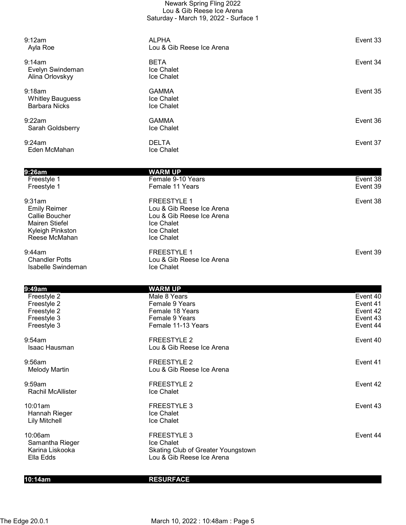| Newark Spring Fling 2022              |
|---------------------------------------|
| Lou & Gib Reese Ice Arena             |
| Saturday - March 19, 2022 - Surface 1 |

| 9:12am<br>Ayla Roe                                                                                                   | <b>ALPHA</b><br>Lou & Gib Reese Ice Arena                                                                              | Event 33 |
|----------------------------------------------------------------------------------------------------------------------|------------------------------------------------------------------------------------------------------------------------|----------|
| 9:14am<br>Evelyn Swindeman<br>Alina Orlovskyy                                                                        | <b>BETA</b><br>Ice Chalet<br>Ice Chalet                                                                                | Event 34 |
| 9:18am<br><b>Whitley Bauguess</b><br><b>Barbara Nicks</b>                                                            | <b>GAMMA</b><br>Ice Chalet<br>Ice Chalet                                                                               | Event 35 |
| 9:22am<br>Sarah Goldsberry                                                                                           | <b>GAMMA</b><br>Ice Chalet                                                                                             | Event 36 |
| 9:24am<br>Eden McMahan                                                                                               | <b>DELTA</b><br>Ice Chalet                                                                                             | Event 37 |
|                                                                                                                      |                                                                                                                        |          |
| 9:26am                                                                                                               | <b>WARM UP</b><br>Female 9-10 Years                                                                                    | Event 38 |
| Freestyle 1<br>Freestyle 1                                                                                           | Female 11 Years                                                                                                        | Event 39 |
| 9:31am<br><b>Emily Reimer</b><br><b>Callie Boucher</b><br><b>Mairen Stiefel</b><br>Kyleigh Pinkston<br>Reese McMahan | <b>FREESTYLE 1</b><br>Lou & Gib Reese Ice Arena<br>Lou & Gib Reese Ice Arena<br>Ice Chalet<br>Ice Chalet<br>Ice Chalet | Event 38 |
| 9:44am<br><b>Chandler Potts</b><br>Isabelle Swindeman                                                                | <b>FREESTYLE 1</b><br>Lou & Gib Reese Ice Arena<br>Ice Chalet                                                          | Event 39 |
| 9:49am                                                                                                               | <b>WARM UP</b>                                                                                                         |          |
| Freestyle 2                                                                                                          | Male 8 Years                                                                                                           | Event 40 |
| Freestyle 2                                                                                                          | Female 9 Years                                                                                                         | Event 41 |
| Freestyle 2                                                                                                          | Female 18 Years                                                                                                        | Event 42 |
| Freestyle 3                                                                                                          | Female 9 Years                                                                                                         | Event 43 |
| Freestyle 3                                                                                                          | Female 11-13 Years                                                                                                     | Event 44 |
| 9:54am<br><b>Isaac Hausman</b>                                                                                       | <b>FREESTYLE 2</b><br>Lou & Gib Reese Ice Arena                                                                        | Event 40 |
| 9:56am<br><b>Melody Martin</b>                                                                                       | <b>FREESTYLE 2</b><br>Lou & Gib Reese Ice Arena                                                                        | Event 41 |
| 9:59am<br>Rachil McAllister                                                                                          | <b>FREESTYLE 2</b><br>Ice Chalet                                                                                       | Event 42 |
| 10:01am<br>Hannah Rieger<br><b>Lily Mitchell</b>                                                                     | <b>FREESTYLE 3</b><br>Ice Chalet<br>Ice Chalet                                                                         | Event 43 |
| 10:06am<br>Samantha Rieger<br>Karina Liskooka                                                                        | <b>FREESTYLE 3</b><br>Ice Chalet<br>Skating Club of Greater Youngstown                                                 | Event 44 |

10:14am RESURFACE

Ella Edds Lou & Gib Reese Ice Arena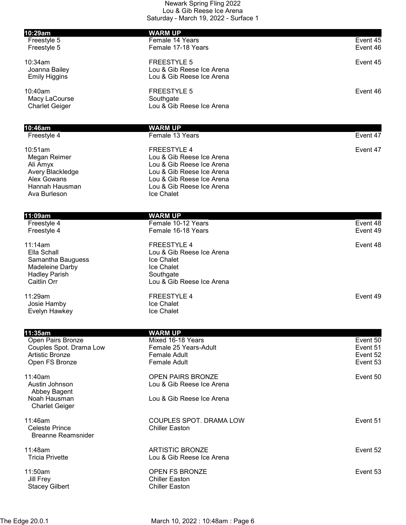| 10:29am                                                                                                  | <b>WARM UP</b>                                                                                                                                                                    |                                              |
|----------------------------------------------------------------------------------------------------------|-----------------------------------------------------------------------------------------------------------------------------------------------------------------------------------|----------------------------------------------|
| Freestyle 5<br>Freestyle 5                                                                               | Female 14 Years<br>Female 17-18 Years                                                                                                                                             | Event 45<br>Event 46                         |
| 10:34am<br>Joanna Bailey<br><b>Emily Higgins</b>                                                         | <b>FREESTYLE 5</b><br>Lou & Gib Reese Ice Arena<br>Lou & Gib Reese Ice Arena                                                                                                      | Event 45                                     |
| 10:40am<br>Macy LaCourse<br><b>Charlet Geiger</b>                                                        | <b>FREESTYLE 5</b><br>Southgate<br>Lou & Gib Reese Ice Arena                                                                                                                      | Event 46                                     |
|                                                                                                          |                                                                                                                                                                                   |                                              |
| 10:46am<br>Freestyle 4                                                                                   | <b>WARM UP</b><br>Female 13 Years                                                                                                                                                 | Event 47                                     |
| 10:51am<br>Megan Reimer<br>Ali Amyx<br>Avery Blackledge<br>Alex Gowans<br>Hannah Hausman<br>Ava Burleson | <b>FREESTYLE 4</b><br>Lou & Gib Reese Ice Arena<br>Lou & Gib Reese Ice Arena<br>Lou & Gib Reese Ice Arena<br>Lou & Gib Reese Ice Arena<br>Lou & Gib Reese Ice Arena<br>Ice Chalet | Event 47                                     |
|                                                                                                          |                                                                                                                                                                                   |                                              |
| 11:09am                                                                                                  | <b>WARM UP</b>                                                                                                                                                                    |                                              |
| Freestyle 4<br>Freestyle 4                                                                               | Female 10-12 Years<br>Female 16-18 Years                                                                                                                                          | Event 48<br>Event 49                         |
| 11:14am<br>Ella Schall<br>Samantha Bauguess<br>Madeleine Darby<br><b>Hadley Parish</b><br>Caitlin Orr    | <b>FREESTYLE 4</b><br>Lou & Gib Reese Ice Arena<br>Ice Chalet<br>Ice Chalet<br>Southgate<br>Lou & Gib Reese Ice Arena                                                             | Event 48                                     |
| 11:29am<br>Josie Hamby<br>Evelyn Hawkey                                                                  | <b>FREESTYLE 4</b><br>Ice Chalet<br>Ice Chalet                                                                                                                                    | Event 49                                     |
|                                                                                                          |                                                                                                                                                                                   |                                              |
| 11:35am<br>Open Pairs Bronze<br>Couples Spot. Drama Low<br><b>Artistic Bronze</b><br>Open FS Bronze      | <b>WARM UP</b><br>Mixed 16-18 Years<br>Female 25 Years-Adult<br><b>Female Adult</b><br><b>Female Adult</b>                                                                        | Event 50<br>Event 51<br>Event 52<br>Event 53 |
| 11:40am<br>Austin Johnson<br>Abbey Bagent<br>Noah Hausman                                                | <b>OPEN PAIRS BRONZE</b><br>Lou & Gib Reese Ice Arena<br>Lou & Gib Reese Ice Arena                                                                                                | Event 50                                     |
| <b>Charlet Geiger</b>                                                                                    |                                                                                                                                                                                   |                                              |
| 11:46am<br><b>Celeste Prince</b><br><b>Breanne Reamsnider</b>                                            | COUPLES SPOT. DRAMA LOW<br><b>Chiller Easton</b>                                                                                                                                  | Event 51                                     |
| 11:48am<br><b>Tricia Privette</b>                                                                        | <b>ARTISTIC BRONZE</b><br>Lou & Gib Reese Ice Arena                                                                                                                               | Event 52                                     |
| 11:50am<br>Jill Frey<br><b>Stacey Gilbert</b>                                                            | OPEN FS BRONZE<br><b>Chiller Easton</b><br><b>Chiller Easton</b>                                                                                                                  | Event 53                                     |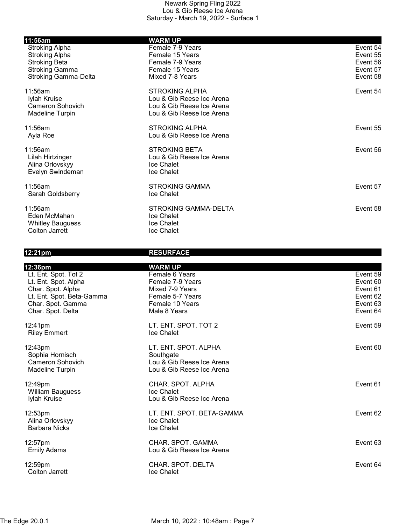| 11:56am                     | <b>WARM UP</b>              |          |
|-----------------------------|-----------------------------|----------|
| <b>Stroking Alpha</b>       | Female 7-9 Years            | Event 54 |
| <b>Stroking Alpha</b>       | Female 15 Years             | Event 55 |
| <b>Stroking Beta</b>        | Female 7-9 Years            | Event 56 |
| <b>Stroking Gamma</b>       | Female 15 Years             | Event 57 |
| <b>Stroking Gamma-Delta</b> | Mixed 7-8 Years             | Event 58 |
| 11:56am                     | <b>STROKING ALPHA</b>       | Event 54 |
| Iylah Kruise                | Lou & Gib Reese Ice Arena   |          |
| <b>Cameron Sohovich</b>     | Lou & Gib Reese Ice Arena   |          |
| <b>Madeline Turpin</b>      | Lou & Gib Reese Ice Arena   |          |
| 11:56am                     | <b>STROKING ALPHA</b>       | Event 55 |
| Ayla Roe                    | Lou & Gib Reese Ice Arena   |          |
| 11:56am                     | <b>STROKING BETA</b>        | Event 56 |
| Lilah Hirtzinger            | Lou & Gib Reese Ice Arena   |          |
| Alina Orlovskyy             | Ice Chalet                  |          |
| Evelyn Swindeman            | Ice Chalet                  |          |
| 11:56am                     | <b>STROKING GAMMA</b>       | Event 57 |
| Sarah Goldsberry            | Ice Chalet                  |          |
| 11:56am                     | <b>STROKING GAMMA-DELTA</b> | Event 58 |
| Eden McMahan                | Ice Chalet                  |          |
| <b>Whitley Bauguess</b>     | <b>Ice Chalet</b>           |          |
| Colton Jarrett              | <b>Ice Chalet</b>           |          |

## 12:21pm RESURFACE

| 12:36pm                                                                                                                                  | <b>WARM UP</b>                                                                                               |                                                                      |
|------------------------------------------------------------------------------------------------------------------------------------------|--------------------------------------------------------------------------------------------------------------|----------------------------------------------------------------------|
| Lt. Ent. Spot. Tot 2<br>Lt. Ent. Spot. Alpha<br>Char. Spot. Alpha<br>Lt. Ent. Spot. Beta-Gamma<br>Char. Spot. Gamma<br>Char. Spot. Delta | Female 6 Years<br>Female 7-9 Years<br>Mixed 7-9 Years<br>Female 5-7 Years<br>Female 10 Years<br>Male 8 Years | Event 59<br>Event 60<br>Event 61<br>Event 62<br>Event 63<br>Event 64 |
| 12:41pm<br><b>Riley Emmert</b>                                                                                                           | LT. ENT. SPOT. TOT 2<br>Ice Chalet                                                                           | Event 59                                                             |
| 12:43pm<br>Sophia Hornisch<br>Cameron Sohovich<br><b>Madeline Turpin</b>                                                                 | LT. ENT. SPOT. ALPHA<br>Southgate<br>Lou & Gib Reese Ice Arena<br>Lou & Gib Reese Ice Arena                  | Event 60                                                             |
| 12:49pm<br><b>William Bauguess</b><br>Iylah Kruise                                                                                       | CHAR. SPOT. ALPHA<br>Ice Chalet<br>Lou & Gib Reese Ice Arena                                                 | Event 61                                                             |
| 12:53pm<br>Alina Orlovskyy<br><b>Barbara Nicks</b>                                                                                       | LT. ENT. SPOT. BETA-GAMMA<br>Ice Chalet<br><b>Ice Chalet</b>                                                 | Event 62                                                             |
| 12:57pm<br><b>Emily Adams</b>                                                                                                            | CHAR. SPOT. GAMMA<br>Lou & Gib Reese Ice Arena                                                               | Event 63                                                             |
| 12:59pm<br>Colton Jarrett                                                                                                                | CHAR. SPOT. DELTA<br>Ice Chalet                                                                              | Event 64                                                             |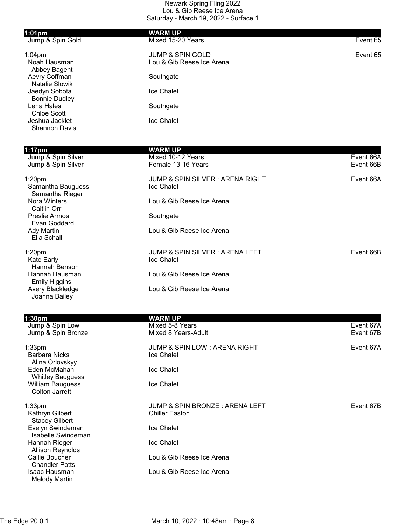| $1:01$ pm                              | <b>WARM UP</b>              |          |
|----------------------------------------|-----------------------------|----------|
| Jump & Spin Gold                       | Mixed 15-20 Years           | Event 65 |
| $1:04$ pm                              | <b>JUMP &amp; SPIN GOLD</b> | Event 65 |
| Noah Hausman<br>Abbey Bagent           | Lou & Gib Reese Ice Arena   |          |
| Aevry Coffman<br><b>Natalie Slowik</b> | Southgate                   |          |
| Jaedyn Sobota<br><b>Bonnie Dudley</b>  | Ice Chalet                  |          |
| Lena Hales<br><b>Chloe Scott</b>       | Southgate                   |          |
| Jeshua Jacklet<br><b>Shannon Davis</b> | Ice Chalet                  |          |

| $1:17$ pm<br>Jump & Spin Silver<br>Jump & Spin Silver      | WARM UP<br>Mixed 10-12 Years<br>Female 13-16 Years   | Event 66A<br>Event 66B |
|------------------------------------------------------------|------------------------------------------------------|------------------------|
| 1:20 <sub>pm</sub><br>Samantha Bauguess<br>Samantha Rieger | JUMP & SPIN SILVER: ARENA RIGHT<br><b>Ice Chalet</b> | Event 66A              |
| Nora Winters<br>Caitlin Orr                                | Lou & Gib Reese Ice Arena                            |                        |
| Preslie Armos<br>Evan Goddard                              | Southgate                                            |                        |
| Ady Martin<br>Ella Schall                                  | Lou & Gib Reese Ice Arena                            |                        |
| 1:20 <sub>pm</sub><br>Kate Early<br>Hannah Benson          | JUMP & SPIN SILVER : ARENA LEFT<br><b>Ice Chalet</b> | Event 66B              |
| Hannah Hausman<br>Emily Higgins                            | Lou & Gib Reese Ice Arena                            |                        |
| Avery Blackledge<br>Joanna Bailey                          | Lou & Gib Reese Ice Arena                            |                        |

| 1:30 <sub>pm</sub>                                             | WARM UP                                                 |           |
|----------------------------------------------------------------|---------------------------------------------------------|-----------|
| Jump & Spin Low                                                | Mixed 5-8 Years                                         | Event 67A |
| Jump & Spin Bronze                                             | Mixed 8 Years-Adult                                     | Event 67B |
| 1:33 <sub>pm</sub><br><b>Barbara Nicks</b><br>Alina Orlovskyy  | JUMP & SPIN LOW: ARENA RIGHT<br>Ice Chalet              | Event 67A |
| Eden McMahan<br><b>Whitley Bauguess</b>                        | Ice Chalet                                              |           |
| William Bauguess<br>Colton Jarrett                             | Ice Chalet                                              |           |
| 1:33 <sub>pm</sub><br>Kathryn Gilbert<br><b>Stacey Gilbert</b> | JUMP & SPIN BRONZE: ARENA LEFT<br><b>Chiller Easton</b> | Event 67B |
| Evelyn Swindeman<br>Isabelle Swindeman                         | Ice Chalet                                              |           |
| Hannah Rieger<br><b>Allison Reynolds</b>                       | Ice Chalet                                              |           |
| Callie Boucher<br><b>Chandler Potts</b>                        | Lou & Gib Reese Ice Arena                               |           |
| Isaac Hausman<br>Melody Martin                                 | Lou & Gib Reese Ice Arena                               |           |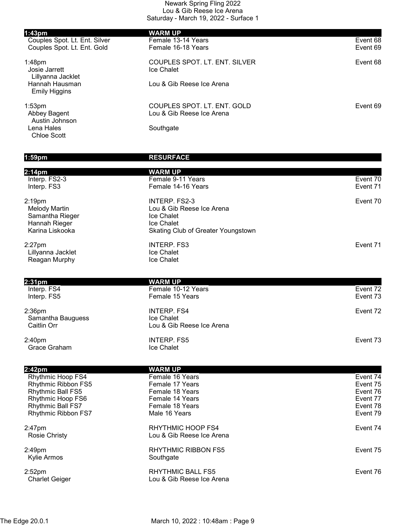| 1:43 <sub>pm</sub>                                           | <b>WARM UP</b>                                                  |                      |
|--------------------------------------------------------------|-----------------------------------------------------------------|----------------------|
| Couples Spot. Lt. Ent. Silver<br>Couples Spot. Lt. Ent. Gold | Female 13-14 Years<br>Female 16-18 Years                        | Event 68<br>Event 69 |
| $1:48$ pm<br>Josie Jarrett<br>Lillyanna Jacklet              | COUPLES SPOT. LT. ENT. SILVER<br>Ice Chalet                     | Event 68             |
| Hannah Hausman<br><b>Emily Higgins</b>                       | Lou & Gib Reese Ice Arena                                       |                      |
| 1:53 <sub>pm</sub><br>Abbey Bagent<br>Austin Johnson         | COUPLES SPOT. LT. ENT. GOLD<br>Lou & Gib Reese Ice Arena        | Event 69             |
| Lena Hales<br><b>Chloe Scott</b>                             | Southgate                                                       |                      |
| 1:59pm                                                       | <b>RESURFACE</b>                                                |                      |
| 2:14 <sub>pm</sub>                                           | <b>WARM UP</b>                                                  |                      |
| Interp. FS2-3<br>Interp. FS3                                 | Female 9-11 Years<br>Female 14-16 Years                         | Event 70<br>Event 71 |
| $2:19$ pm<br><b>Melody Martin</b><br>Samantha Rieger         | <b>INTERP. FS2-3</b><br>Lou & Gib Reese Ice Arena<br>Ice Chalet | Event 70             |
| Hannah Rieger<br>Karina Liskooka                             | Ice Chalet<br>Skating Club of Greater Youngstown                |                      |
| $2:27$ pm<br>Lillyanna Jacklet                               | <b>INTERP. FS3</b><br>Ice Chalet                                | Event 71             |
| Reagan Murphy                                                | Ice Chalet                                                      |                      |
| 2:31 <sub>pm</sub>                                           | <b>WARM UP</b>                                                  |                      |
| Interp. FS4<br>Interp. FS5                                   | Female 10-12 Years<br>Female 15 Years                           | Event 72<br>Event 73 |
| $2:36$ pm<br>Samantha Bauguess<br>Caitlin Orr                | <b>INTERP. FS4</b><br>Ice Chalet<br>Lou & Gib Reese Ice Arena   | Event 72             |
|                                                              |                                                                 |                      |
| 2:40pm<br>Grace Graham                                       | <b>INTERP. FS5</b><br>Ice Chalet                                | Event 73             |
| 2:42pm                                                       | <b>WARM UP</b>                                                  |                      |
| Rhythmic Hoop FS4                                            | Female 16 Years                                                 | Event 74             |
| Rhythmic Ribbon FS5<br><b>Rhythmic Ball FS5</b>              | Female 17 Years<br>Female 18 Years                              | Event 75<br>Event 76 |
| Rhythmic Hoop FS6                                            | Female 14 Years                                                 | Event 77             |
| Rhythmic Ball FS7<br>Rhythmic Ribbon FS7                     | Female 18 Years<br>Male 16 Years                                | Event 78<br>Event 79 |
| 2:47pm<br>Rosie Christy                                      | RHYTHMIC HOOP FS4<br>Lou & Gib Reese Ice Arena                  | Event 74             |
| 2:49pm<br>Kylie Armos                                        | <b>RHYTHMIC RIBBON FS5</b><br>Southgate                         | Event 75             |
| 2:52 <sub>pm</sub><br><b>Charlet Geiger</b>                  | <b>RHYTHMIC BALL FS5</b><br>Lou & Gib Reese Ice Arena           | Event 76             |
|                                                              |                                                                 |                      |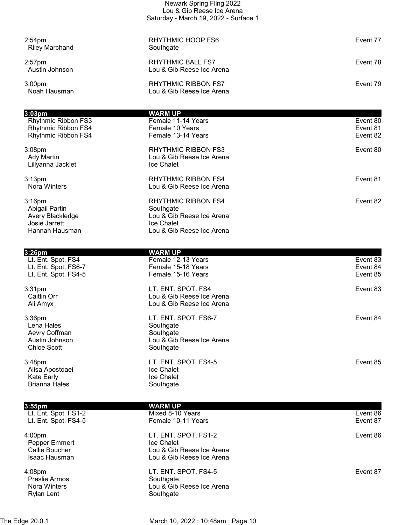|                                                                                           | Newark Spring Fling 2022<br>Lou & Gib Reese Ice Arena<br>Saturday - March 19, 2022 - Surface 1                  |                                  |
|-------------------------------------------------------------------------------------------|-----------------------------------------------------------------------------------------------------------------|----------------------------------|
|                                                                                           |                                                                                                                 |                                  |
| $2:54$ pm<br><b>Riley Marchand</b>                                                        | RHYTHMIC HOOP FS6<br>Southgate                                                                                  | Event 77                         |
| $2:57$ pm<br>Austin Johnson                                                               | RHYTHMIC BALL FS7<br>Lou & Gib Reese Ice Arena                                                                  | Event 78                         |
| 3:00 <sub>pm</sub><br>Noah Hausman                                                        | RHYTHMIC RIBBON FS7<br>Lou & Gib Reese Ice Arena                                                                | Event 79                         |
|                                                                                           |                                                                                                                 |                                  |
| 3:03 <sub>pm</sub><br>Rhythmic Ribbon FS3<br>Rhythmic Ribbon FS4<br>Rhythmic Ribbon FS4   | <b>WARM UP</b><br>Female 11-14 Years<br>Female 10 Years<br>Female 13-14 Years                                   | Event 80<br>Event 81<br>Event 82 |
| 3:08 <sub>pm</sub><br>Ady Martin<br>Lillyanna Jacklet                                     | <b>RHYTHMIC RIBBON FS3</b><br>Lou & Gib Reese Ice Arena<br><b>Ice Chalet</b>                                    | Event 80                         |
| 3:13 <sub>pm</sub><br><b>Nora Winters</b>                                                 | <b>RHYTHMIC RIBBON FS4</b><br>Lou & Gib Reese Ice Arena                                                         | Event 81                         |
| $3:16$ pm<br><b>Abigail Partin</b><br>Avery Blackledge<br>Josie Jarrett<br>Hannah Hausman | <b>RHYTHMIC RIBBON FS4</b><br>Southgate<br>Lou & Gib Reese Ice Arena<br>Ice Chalet<br>Lou & Gib Reese Ice Arena | Event 82                         |
| $3:26$ pm                                                                                 | <b>WARM UP</b>                                                                                                  |                                  |
| Lt. Ent. Spot. FS4<br>Lt. Ent. Spot. FS6-7<br>Lt. Ent. Spot. FS4-5                        | Female 12-13 Years<br>Female 15-18 Years<br>Female 15-16 Years                                                  | Event 83<br>Event 84<br>Event 85 |
| 3:31 <sub>pm</sub><br>Caitlin Orr<br>Ali Amyx                                             | LT. ENT. SPOT. FS4<br>Lou & Gib Reese Ice Arena<br>Lou & Gib Reese Ice Arena                                    | Event 83                         |
| $3:36$ pm<br>Lena Hales<br>Aevry Coffman<br>Austin Johnson<br><b>Chloe Scott</b>          | LT. ENT. SPOT. FS6-7<br>Southgate<br>Southgate<br>Lou & Gib Reese Ice Arena<br>Southgate                        | Event 84                         |

Chloe Scott Alisa Apostoaei **Ice Chalet** 

Kate Early **Ice Chalet** Brianna Hales **Southgate** 

| 3:55pm                                                       | WARM UP                                                                                             |          |
|--------------------------------------------------------------|-----------------------------------------------------------------------------------------------------|----------|
| Lt. Ent. Spot. FS1-2                                         | Mixed 8-10 Years                                                                                    | Event 86 |
| Lt. Ent. Spot. FS4-5                                         | Female 10-11 Years                                                                                  | Event 87 |
| 4:00pm<br>Pepper Emmert<br>Callie Boucher<br>Isaac Hausman   | LT. ENT. SPOT. FS1-2<br><b>Ice Chalet</b><br>Lou & Gib Reese Ice Arena<br>Lou & Gib Reese Ice Arena | Event 86 |
| 4:08pm<br><b>Preslie Armos</b><br>Nora Winters<br>Rylan Lent | LT. ENT. SPOT. FS4-5<br>Southgate<br>Lou & Gib Reese Ice Arena<br>Southgate                         | Event 87 |

LT. ENT. SPOT. FS4-5 Event 85 Event 85

The Edge 20.0.1 March 10, 2022 : 10:48am : Page 10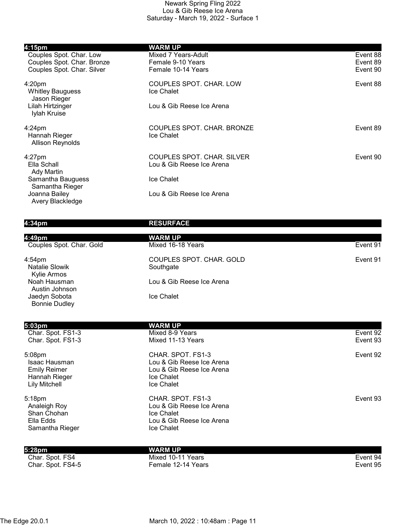| 4:15pm<br>Couples Spot. Char. Low<br>Couples Spot. Char. Bronze<br>Couples Spot. Char. Silver | WARM UP<br>Mixed 7 Years-Adult<br>Female 9-10 Years<br>Female 10-14 Years | Event 88<br>Event 89<br>Event 90 |
|-----------------------------------------------------------------------------------------------|---------------------------------------------------------------------------|----------------------------------|
| 4:20 <sub>pm</sub><br><b>Whitley Bauguess</b><br>Jason Rieger                                 | COUPLES SPOT. CHAR. LOW<br>Ice Chalet                                     | Event 88                         |
| Lilah Hirtzinger<br>Iylah Kruise                                                              | Lou & Gib Reese Ice Arena                                                 |                                  |
| $4:24 \text{pm}$<br>Hannah Rieger<br><b>Allison Reynolds</b>                                  | COUPLES SPOT, CHAR, BRONZE<br>Ice Chalet                                  | Event 89                         |
| $4:27$ pm<br>Ella Schall<br>Ady Martin                                                        | COUPLES SPOT. CHAR. SILVER<br>Lou & Gib Reese Ice Arena                   | Event 90                         |
| Samantha Bauguess<br>Samantha Rieger                                                          | Ice Chalet                                                                |                                  |
| Joanna Bailey<br>Avery Blackledge                                                             | Lou & Gib Reese Ice Arena                                                 |                                  |

## 4:34pm RESURFACE

| 4:49pm<br>Couples Spot. Char. Gold    | <b>WARM UP</b><br>Mixed 16-18 Years   | Event 91 |
|---------------------------------------|---------------------------------------|----------|
| $4:54$ pm<br>Natalie Slowik           | COUPLES SPOT. CHAR. GOLD<br>Southgate | Event 91 |
| Kylie Armos                           |                                       |          |
| Noah Hausman<br>Austin Johnson        | Lou & Gib Reese Ice Arena             |          |
| Jaedyn Sobota<br><b>Bonnie Dudley</b> | Ice Chalet                            |          |
|                                       |                                       |          |

| 5:03pm                                                                                  | <b>WARM UP</b>                                                                                                 |          |
|-----------------------------------------------------------------------------------------|----------------------------------------------------------------------------------------------------------------|----------|
| Char. Spot. FS1-3                                                                       | Mixed 8-9 Years                                                                                                | Event 92 |
| Char. Spot. FS1-3                                                                       | Mixed 11-13 Years                                                                                              | Event 93 |
| 5:08pm<br>Isaac Hausman<br><b>Emily Reimer</b><br>Hannah Rieger<br><b>Lily Mitchell</b> | CHAR. SPOT. FS1-3<br>Lou & Gib Reese Ice Arena<br>Lou & Gib Reese Ice Arena<br><b>Ice Chalet</b><br>Ice Chalet | Event 92 |
| 5:18pm<br>Analeigh Roy<br>Shan Chohan<br>Ella Edds<br>Samantha Rieger                   | CHAR. SPOT. FS1-3<br>Lou & Gib Reese Ice Arena<br>Ice Chalet<br>Lou & Gib Reese Ice Arena<br><b>Ice Chalet</b> | Event 93 |
| 5:28pm                                                                                  | WARM UP                                                                                                        |          |
| Char. Spot. FS4                                                                         | Mixed 10-11 Years                                                                                              | Event 94 |
| Char. Spot. FS4-5                                                                       | Female 12-14 Years                                                                                             | Event 95 |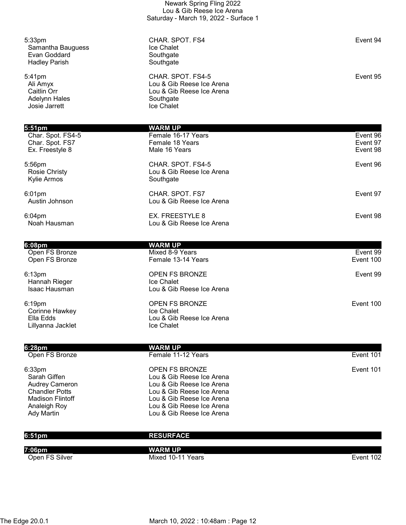|                                                                                                                                          | Lou & Gib Reese Ice Arena<br>Saturday - March 19, 2022 - Surface 1                                                                                                                           |                                  |
|------------------------------------------------------------------------------------------------------------------------------------------|----------------------------------------------------------------------------------------------------------------------------------------------------------------------------------------------|----------------------------------|
| 5:33pm<br>Samantha Bauguess<br>Evan Goddard<br><b>Hadley Parish</b>                                                                      | CHAR. SPOT. FS4<br>Ice Chalet<br>Southgate<br>Southgate                                                                                                                                      | Event 94                         |
| 5:41pm<br>Ali Amyx<br>Caitlin Orr<br><b>Adelynn Hales</b><br>Josie Jarrett                                                               | CHAR. SPOT. FS4-5<br>Lou & Gib Reese Ice Arena<br>Lou & Gib Reese Ice Arena<br>Southgate<br>Ice Chalet                                                                                       | Event 95                         |
| $5:51 \text{pm}$<br>Char. Spot. FS4-5<br>Char. Spot. FS7<br>Ex. Freestyle 8                                                              | <b>WARM UP</b><br>Female 16-17 Years<br>Female 18 Years<br>Male 16 Years                                                                                                                     | Event 96<br>Event 97<br>Event 98 |
| 5:56pm<br><b>Rosie Christy</b><br>Kylie Armos                                                                                            | CHAR. SPOT. FS4-5<br>Lou & Gib Reese Ice Arena<br>Southgate                                                                                                                                  | Event 96                         |
| $6:01$ pm<br>Austin Johnson                                                                                                              | CHAR. SPOT. FS7<br>Lou & Gib Reese Ice Arena                                                                                                                                                 | Event 97                         |
| $6:04$ pm<br>Noah Hausman                                                                                                                | EX. FREESTYLE 8<br>Lou & Gib Reese Ice Arena                                                                                                                                                 | Event 98                         |
| 6:08pm                                                                                                                                   | <b>WARM UP</b>                                                                                                                                                                               |                                  |
| Open FS Bronze<br>Open FS Bronze                                                                                                         | Mixed 8-9 Years<br>Female 13-14 Years                                                                                                                                                        | Event 99<br>Event 100            |
| 6:13pm<br>Hannah Rieger<br>Isaac Hausman                                                                                                 | OPEN FS BRONZE<br><b>Ice Chalet</b><br>Lou & Gib Reese Ice Arena                                                                                                                             | Event 99                         |
| 6:19pm<br>Corinne Hawkey<br>Ella Edds<br>Lillyanna Jacklet                                                                               | OPEN FS BRONZE<br>Ice Chalet<br>Lou & Gib Reese Ice Arena<br><b>Ice Chalet</b>                                                                                                               | Event 100                        |
| 6:28pm                                                                                                                                   | <b>WARM UP</b>                                                                                                                                                                               |                                  |
| Open FS Bronze                                                                                                                           | Female 11-12 Years                                                                                                                                                                           | Event 101                        |
| 6:33pm<br>Sarah Giffen<br><b>Audrey Cameron</b><br><b>Chandler Potts</b><br><b>Madison Flintoff</b><br>Analeigh Roy<br><b>Ady Martin</b> | OPEN FS BRONZE<br>Lou & Gib Reese Ice Arena<br>Lou & Gib Reese Ice Arena<br>Lou & Gib Reese Ice Arena<br>Lou & Gib Reese Ice Arena<br>Lou & Gib Reese Ice Arena<br>Lou & Gib Reese Ice Arena | Event 101                        |
|                                                                                                                                          |                                                                                                                                                                                              |                                  |

Newark Spring Fling 2022

| 6:51pm         | <b>RESURFACE</b>  |           |
|----------------|-------------------|-----------|
|                |                   |           |
| 7:06pm         | <b>WARM UP</b>    |           |
| Open FS Silver | Mixed 10-11 Years | Event 102 |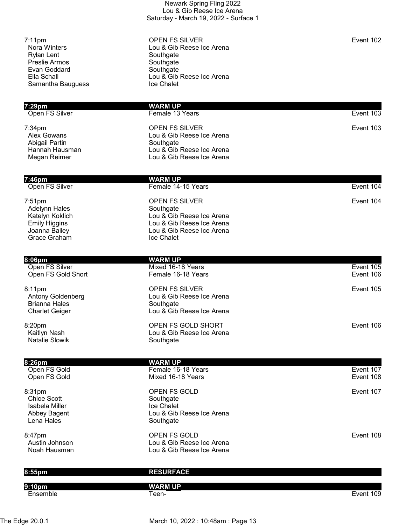|                                                                                                                            | Lou & Gib Reese Ice Arena<br>Saturday - March 19, 2022 - Surface 1                                                                      |                        |
|----------------------------------------------------------------------------------------------------------------------------|-----------------------------------------------------------------------------------------------------------------------------------------|------------------------|
| $7:11$ pm<br><b>Nora Winters</b><br><b>Rylan Lent</b><br>Preslie Armos<br>Evan Goddard<br>Ella Schall<br>Samantha Bauguess | <b>OPEN FS SILVER</b><br>Lou & Gib Reese Ice Arena<br>Southgate<br>Southgate<br>Southgate<br>Lou & Gib Reese Ice Arena<br>Ice Chalet    | Event 102              |
| 7:29pm                                                                                                                     | <b>WARM UP</b>                                                                                                                          |                        |
| Open FS Silver                                                                                                             | Female 13 Years                                                                                                                         | Event 103              |
| $7:34$ pm<br><b>Alex Gowans</b><br><b>Abigail Partin</b><br>Hannah Hausman<br>Megan Reimer                                 | OPEN FS SILVER<br>Lou & Gib Reese Ice Arena<br>Southgate<br>Lou & Gib Reese Ice Arena<br>Lou & Gib Reese Ice Arena                      | Event 103              |
| 7:46pm                                                                                                                     | <b>WARM UP</b>                                                                                                                          |                        |
| Open FS Silver                                                                                                             | Female 14-15 Years                                                                                                                      | Event 104              |
| $7:51$ pm<br><b>Adelynn Hales</b><br>Katelyn Koklich<br><b>Emily Higgins</b><br>Joanna Bailey<br>Grace Graham              | <b>OPEN FS SILVER</b><br>Southgate<br>Lou & Gib Reese Ice Arena<br>Lou & Gib Reese Ice Arena<br>Lou & Gib Reese Ice Arena<br>Ice Chalet | Event 104              |
| 8:06pm                                                                                                                     | <b>WARM UP</b>                                                                                                                          |                        |
| Open FS Silver<br>Open FS Gold Short                                                                                       | Mixed 16-18 Years<br>Female 16-18 Years                                                                                                 | Event 105<br>Event 106 |
| 8:11pm<br>Antony Goldenberg<br><b>Brianna Hales</b><br><b>Charlet Geiger</b>                                               | <b>OPEN FS SILVER</b><br>Lou & Gib Reese Ice Arena<br>Southgate<br>Lou & Gib Reese Ice Arena                                            | Event 105              |
| 8:20pm<br>Kaitlyn Nash<br><b>Natalie Slowik</b>                                                                            | OPEN FS GOLD SHORT<br>Lou & Gib Reese Ice Arena<br>Southgate                                                                            | Event 106              |
| 8:26pm                                                                                                                     | <b>WARM UP</b>                                                                                                                          |                        |
| Open FS Gold<br>Open FS Gold                                                                                               | Female 16-18 Years<br>Mixed 16-18 Years                                                                                                 | Event 107<br>Event 108 |
| 8:31pm<br><b>Chloe Scott</b><br>Isabela Miller<br>Abbey Bagent<br>Lena Hales                                               | OPEN FS GOLD<br>Southgate<br>Ice Chalet<br>Lou & Gib Reese Ice Arena<br>Southgate                                                       | Event 107              |
| 8:47pm<br>Austin Johnson<br>Noah Hausman                                                                                   | OPEN FS GOLD<br>Lou & Gib Reese Ice Arena<br>Lou & Gib Reese Ice Arena                                                                  | Event 108              |
| 8:55pm                                                                                                                     | <b>RESURFACE</b>                                                                                                                        |                        |
| 9:10pm                                                                                                                     | <b>WARM UP</b>                                                                                                                          |                        |

Newark Spring Fling 2022

Ensemble Teen- Event 109

The Edge 20.0.1 March 10, 2022 : 10:48am : Page 13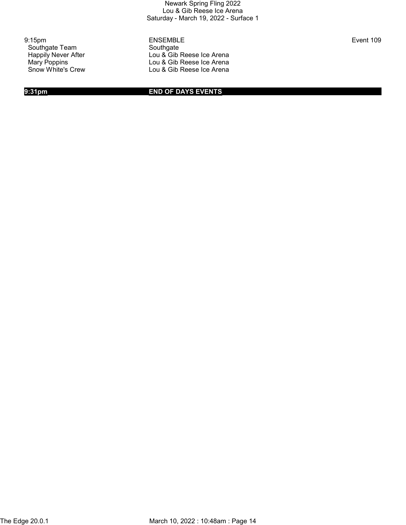Southgate Team Southgate<br>
Happily Never After Southgate<br>
Lou & Gib

9:15pm ENSEMBLE Event 109 Happily Never After **Lou & Gib Reese Ice Arena**<br>Mary Poppins **Lou & Gib Reese Ice Arena** Mary Poppins<br>
Show White's Crew<br>
Cou & Gib Reese Ice Arena Lou & Gib Reese Ice Arena

9:31pm END OF DAYS EVENTS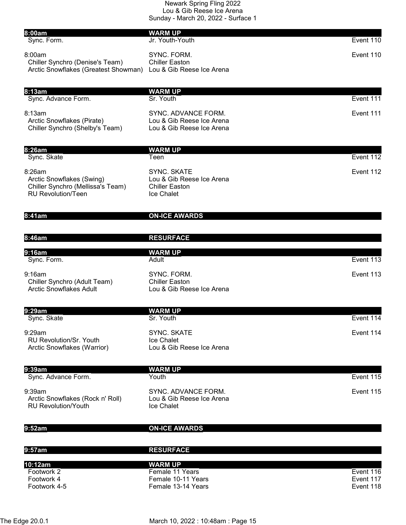| 8:00am<br>Sync. Form.                                                                                       | <b>WARM UP</b><br>Jr. Youth-Youth                                                      | Event 110              |
|-------------------------------------------------------------------------------------------------------------|----------------------------------------------------------------------------------------|------------------------|
| 8:00am<br>Chiller Synchro (Denise's Team)<br>Arctic Snowflakes (Greatest Showman) Lou & Gib Reese Ice Arena | SYNC. FORM.<br><b>Chiller Easton</b>                                                   | Event 110              |
| 8:13am<br>Sync. Advance Form.                                                                               | <b>WARM UP</b><br>Sr. Youth                                                            | Event 111              |
| 8:13am<br>Arctic Snowflakes (Pirate)<br>Chiller Synchro (Shelby's Team)                                     | SYNC. ADVANCE FORM.<br>Lou & Gib Reese Ice Arena<br>Lou & Gib Reese Ice Arena          | Event 111              |
| 8:26am<br>Sync. Skate                                                                                       | <b>WARM UP</b><br>Teen                                                                 | Event 112              |
| 8:26am<br>Arctic Snowflakes (Swing)<br>Chiller Synchro (Mellissa's Team)<br><b>RU Revolution/Teen</b>       | <b>SYNC. SKATE</b><br>Lou & Gib Reese Ice Arena<br><b>Chiller Easton</b><br>Ice Chalet | Event 112              |
| 8:41am                                                                                                      | <b>ON-ICE AWARDS</b>                                                                   |                        |
| 8:46am                                                                                                      | <b>RESURFACE</b>                                                                       |                        |
| 9:16am<br>Sync. Form.                                                                                       | <b>WARM UP</b><br>Adult                                                                | Event 113              |
| 9:16am<br>Chiller Synchro (Adult Team)<br><b>Arctic Snowflakes Adult</b>                                    | SYNC. FORM.<br><b>Chiller Easton</b><br>Lou & Gib Reese Ice Arena                      | Event 113              |
| 9:29am<br>Sync. Skate                                                                                       | <b>WARM UP</b><br>Sr. Youth                                                            | Event 114              |
| 9:29am<br><b>RU Revolution/Sr. Youth</b><br>Arctic Snowflakes (Warrior)                                     | <b>SYNC. SKATE</b><br>Ice Chalet<br>Lou & Gib Reese Ice Arena                          | Event 114              |
| 9:39am<br>Sync. Advance Form.                                                                               | <b>WARM UP</b><br>Youth                                                                | Event 115              |
| 9:39am<br>Arctic Snowflakes (Rock n' Roll)<br><b>RU Revolution/Youth</b>                                    | SYNC. ADVANCE FORM.<br>Lou & Gib Reese Ice Arena<br>Ice Chalet                         | Event 115              |
| 9:52am                                                                                                      | <b>ON-ICE AWARDS</b>                                                                   |                        |
| 9:57am                                                                                                      | <b>RESURFACE</b>                                                                       |                        |
| 10:12am                                                                                                     | <b>WARM UP</b>                                                                         |                        |
| Footwork 2<br>Footwork 4                                                                                    | Female 11 Years<br>Female 10-11 Years                                                  | Event 116<br>Event 117 |
| Footwork 4-5                                                                                                | Female 13-14 Years                                                                     | Event 118              |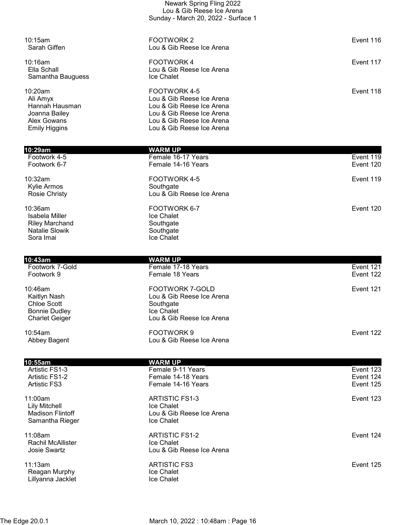|                                                                                               | Lou & Gib Reese Ice Arena<br>Sunday - March 20, 2022 - Surface 1                                                                                              |                        |
|-----------------------------------------------------------------------------------------------|---------------------------------------------------------------------------------------------------------------------------------------------------------------|------------------------|
| 10:15am<br>Sarah Giffen                                                                       | FOOTWORK 2<br>Lou & Gib Reese Ice Arena                                                                                                                       | Event 116              |
| $10:16$ am<br>Ella Schall<br>Samantha Bauguess                                                | <b>FOOTWORK4</b><br>Lou & Gib Reese Ice Arena<br>Ice Chalet                                                                                                   | Event 117              |
| 10:20am<br>Ali Amyx<br>Hannah Hausman<br>Joanna Bailey<br>Alex Gowans<br><b>Emily Higgins</b> | FOOTWORK 4-5<br>Lou & Gib Reese Ice Arena<br>Lou & Gib Reese Ice Arena<br>Lou & Gib Reese Ice Arena<br>Lou & Gib Reese Ice Arena<br>Lou & Gib Reese Ice Arena | Event 118              |
| 10:29am<br>Footwork 4-5<br>Footwork 6-7                                                       | WARM UP<br>Female 16-17 Years<br>Female 14-16 Years                                                                                                           | Event 119<br>Event 120 |

Newark Spring Fling 2022

| 10:32am<br>Kylie Armos<br><b>Rosie Christy</b> | FOOTWORK 4-5<br>Southgate<br>Lou & Gib Reese Ice Arena | Event 119 |
|------------------------------------------------|--------------------------------------------------------|-----------|
| 10:36am                                        | FOOTWORK 6-7                                           | Event 120 |
| Isabela Miller                                 | Ice Chalet                                             |           |
| <b>Riley Marchand</b>                          | Southgate                                              |           |
| <b>Natalie Slowik</b>                          | Southgate                                              |           |

Natalie Slowik<br>Sora Imai

| 10:43am                                                                                        | <b>WARM UP</b>                                                                                       |                                     |  |
|------------------------------------------------------------------------------------------------|------------------------------------------------------------------------------------------------------|-------------------------------------|--|
| Footwork 7-Gold<br>Footwork 9                                                                  | Female 17-18 Years<br>Female 18 Years                                                                | Event 121<br>Event 122              |  |
| 10:46am<br>Kaitlyn Nash<br><b>Chloe Scott</b><br><b>Bonnie Dudley</b><br><b>Charlet Geiger</b> | FOOTWORK 7-GOLD<br>Lou & Gib Reese Ice Arena<br>Southgate<br>Ice Chalet<br>Lou & Gib Reese Ice Arena | Event 121                           |  |
| 10:54am<br>Abbey Bagent                                                                        | FOOTWORK9<br>Lou & Gib Reese Ice Arena                                                               | Event 122                           |  |
| 10:55am                                                                                        | <b>WARM UP</b>                                                                                       |                                     |  |
| Artistic FS1-3<br>Artistic FS1-2<br><b>Artistic FS3</b>                                        | Female 9-11 Years<br>Female 14-18 Years<br>Female 14-16 Years                                        | Event 123<br>Event 124<br>Event 125 |  |
| 11:00am<br><b>Lily Mitchell</b><br><b>Madison Flintoff</b><br>Samantha Rieger                  | <b>ARTISTIC FS1-3</b><br>Ice Chalet<br>Lou & Gib Reese Ice Arena<br>Ice Chalet                       | Event 123                           |  |
| 11:08am<br><b>Rachil McAllister</b><br><b>Josie Swartz</b>                                     | <b>ARTISTIC FS1-2</b><br>Ice Chalet<br>Lou & Gib Reese Ice Arena                                     | Event 124                           |  |
| 11:13am<br>Reagan Murphy<br>Lillyanna Jacklet                                                  | <b>ARTISTIC FS3</b><br>Ice Chalet<br>Ice Chalet                                                      | Event 125                           |  |

Ice Chalet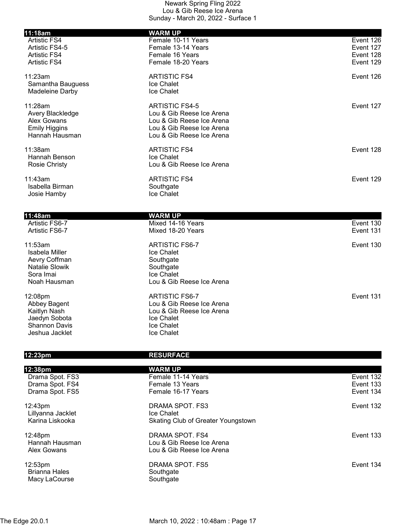| 11:18am                                | <b>WARM UP</b>                                         |                        |
|----------------------------------------|--------------------------------------------------------|------------------------|
| <b>Artistic FS4</b>                    | Female 10-11 Years                                     | Event 126              |
| Artistic FS4-5                         | Female 13-14 Years                                     | Event 127              |
| <b>Artistic FS4</b>                    | Female 16 Years                                        | Event 128              |
| <b>Artistic FS4</b>                    | Female 18-20 Years                                     | Event 129              |
| 11:23am                                | <b>ARTISTIC FS4</b>                                    | Event 126              |
| Samantha Bauguess                      | Ice Chalet                                             |                        |
| Madeleine Darby                        | Ice Chalet                                             |                        |
| 11:28am                                | <b>ARTISTIC FS4-5</b>                                  | Event 127              |
| Avery Blackledge                       | Lou & Gib Reese Ice Arena                              |                        |
| Alex Gowans                            | Lou & Gib Reese Ice Arena<br>Lou & Gib Reese Ice Arena |                        |
| <b>Emily Higgins</b><br>Hannah Hausman | Lou & Gib Reese Ice Arena                              |                        |
| 11:38am                                | <b>ARTISTIC FS4</b>                                    | Event 128              |
| Hannah Benson                          | Ice Chalet                                             |                        |
| <b>Rosie Christy</b>                   | Lou & Gib Reese Ice Arena                              |                        |
| 11:43am                                | <b>ARTISTIC FS4</b>                                    | Event 129              |
| Isabella Birman                        | Southgate                                              |                        |
| Josie Hamby                            | Ice Chalet                                             |                        |
|                                        |                                                        |                        |
| 11:48am<br>Artistic FS6-7              | <b>WARM UP</b><br>Mixed 14-16 Years                    | Event 130              |
| Artistic FS6-7                         | Mixed 18-20 Years                                      | Event 131              |
| 11:53am                                | <b>ARTISTIC FS6-7</b>                                  | Event 130              |
| <b>Isabela Miller</b>                  | Ice Chalet                                             |                        |
| Aevry Coffman                          | Southgate                                              |                        |
| <b>Natalie Slowik</b>                  | Southgate                                              |                        |
| Sora Imai<br>Noah Hausman              | Ice Chalet<br>Lou & Gib Reese Ice Arena                |                        |
|                                        |                                                        |                        |
| 12:08pm                                | <b>ARTISTIC FS6-7</b>                                  | Event 131              |
| Abbey Bagent                           | Lou & Gib Reese Ice Arena                              |                        |
| Kaitlyn Nash                           | Lou & Gib Reese Ice Arena                              |                        |
| Jaedyn Sobota<br><b>Shannon Davis</b>  | Ice Chalet<br>Ice Chalet                               |                        |
| Jeshua Jacklet                         | Ice Chalet                                             |                        |
|                                        |                                                        |                        |
| 12:23pm                                | <b>RESURFACE</b>                                       |                        |
| 12:38 <sub>pm</sub>                    | <b>WARM UP</b>                                         |                        |
| Drama Spot. FS3                        | Female 11-14 Years                                     | Event 132              |
| Drama Spot. FS4<br>Drama Spot. FS5     | Female 13 Years<br>Female 16-17 Years                  | Event 133<br>Event 134 |
|                                        |                                                        |                        |
| 12:43pm                                | DRAMA SPOT. FS3                                        | Event 132              |
| Lillyanna Jacklet                      | Ice Chalet                                             |                        |
| Karina Liskooka                        | Skating Club of Greater Youngstown                     |                        |
| 12:48pm                                | DRAMA SPOT. FS4                                        | Event 133              |
| Hannah Hausman                         | Lou & Gib Reese Ice Arena                              |                        |

Alex Gowans **Lou & Gib Reese Ice Arena** 

12:53pm DRAMA SPOT. FS5 Event 134 Brianna Hales Macy LaCourse